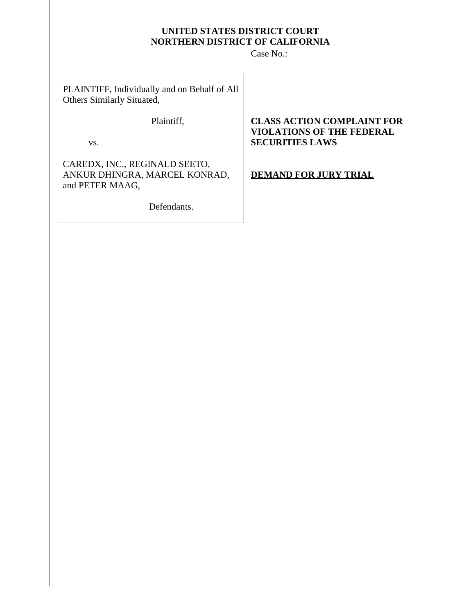## **UNITED STATES DISTRICT COURT NORTHERN DISTRICT OF CALIFORNIA**

Case No.:

PLAINTIFF, Individually and on Behalf of All Others Similarly Situated,

vs.

CAREDX, INC., REGINALD SEETO, ANKUR DHINGRA, MARCEL KONRAD, and PETER MAAG,

Defendants.

# Plaintiff, **CLASS ACTION COMPLAINT FOR VIOLATIONS OF THE FEDERAL SECURITIES LAWS**

**DEMAND FOR JURY TRIAL**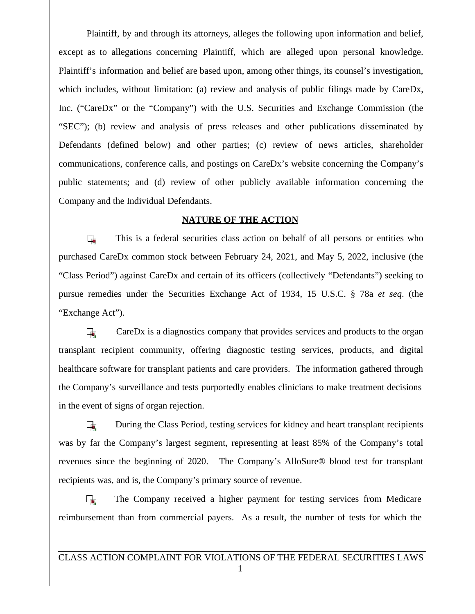Plaintiff, by and through its attorneys, alleges the following upon information and belief, except as to allegations concerning Plaintiff, which are alleged upon personal knowledge. Plaintiff's information and belief are based upon, among other things, its counsel's investigation, which includes, without limitation: (a) review and analysis of public filings made by CareDx, Inc. ("CareDx" or the "Company") with the U.S. Securities and Exchange Commission (the "SEC"); (b) review and analysis of press releases and other publications disseminated by Defendants (defined below) and other parties; (c) review of news articles, shareholder communications, conference calls, and postings on CareDx's website concerning the Company's public statements; and (d) review of other publicly available information concerning the Company and the Individual Defendants.

# **NATURE OF THE ACTION**

 $\overline{\phantom{a}}$ This is a federal securities class action on behalf of all persons or entities who purchased CareDx common stock between February 24, 2021, and May 5, 2022, inclusive (the "Class Period") against CareDx and certain of its officers (collectively "Defendants") seeking to pursue remedies under the Securities Exchange Act of 1934, 15 U.S.C. § 78a *et seq.* (the "Exchange Act").

 $\overline{1}$ CareDx is a diagnostics company that provides services and products to the organ transplant recipient community, offering diagnostic testing services, products, and digital healthcare software for transplant patients and care providers. The information gathered through the Company's surveillance and tests purportedly enables clinicians to make treatment decisions in the event of signs of organ rejection.

During the Class Period, testing services for kidney and heart transplant recipients  $\overline{\mathbf{u}}$ was by far the Company's largest segment, representing at least 85% of the Company's total revenues since the beginning of 2020. The Company's AlloSure<sup>®</sup> blood test for transplant recipients was, and is, the Company's primary source of revenue.

The Company received a higher payment for testing services from Medicare  $\Box$ reimbursement than from commercial payers. As a result, the number of tests for which the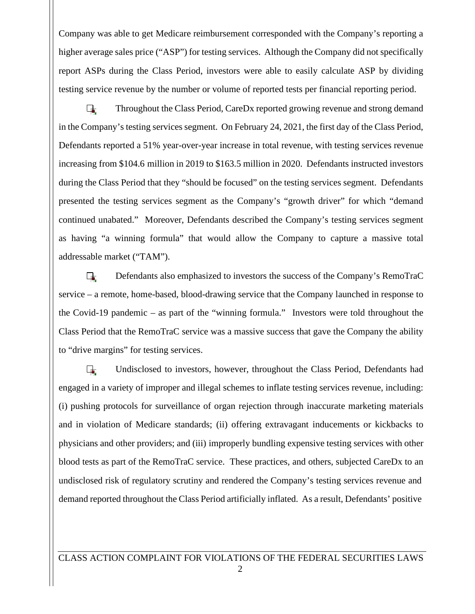Company was able to get Medicare reimbursement corresponded with the Company's reporting a higher average sales price ("ASP") for testing services. Although the Company did not specifically report ASPs during the Class Period, investors were able to easily calculate ASP by dividing testing service revenue by the number or volume of reported tests per financial reporting period.

Throughout the Class Period, CareDx reported growing revenue and strong demand П. in the Company's testing services segment. On February 24, 2021, the first day of the Class Period, Defendants reported a 51% year-over-year increase in total revenue, with testing services revenue increasing from \$104.6 million in 2019 to \$163.5 million in 2020. Defendants instructed investors during the Class Period that they "should be focused" on the testing services segment. Defendants presented the testing services segment as the Company's "growth driver" for which "demand continued unabated." Moreover, Defendants described the Company's testing services segment as having "a winning formula" that would allow the Company to capture a massive total addressable market ("TAM").

Defendants also emphasized to investors the success of the Company's RemoTraC  $\Box$ service – a remote, home-based, blood-drawing service that the Company launched in response to the Covid-19 pandemic – as part of the "winning formula." Investors were told throughout the Class Period that the RemoTraC service was a massive success that gave the Company the ability to "drive margins" for testing services.

 $\overline{\phantom{a}}$ Undisclosed to investors, however, throughout the Class Period, Defendants had engaged in a variety of improper and illegal schemes to inflate testing services revenue, including: (i) pushing protocols for surveillance of organ rejection through inaccurate marketing materials and in violation of Medicare standards; (ii) offering extravagant inducements or kickbacks to physicians and other providers; and (iii) improperly bundling expensive testing services with other blood tests as part of the RemoTraC service. These practices, and others, subjected CareDx to an undisclosed risk of regulatory scrutiny and rendered the Company's testing services revenue and demand reported throughout the Class Period artificially inflated. As a result, Defendants' positive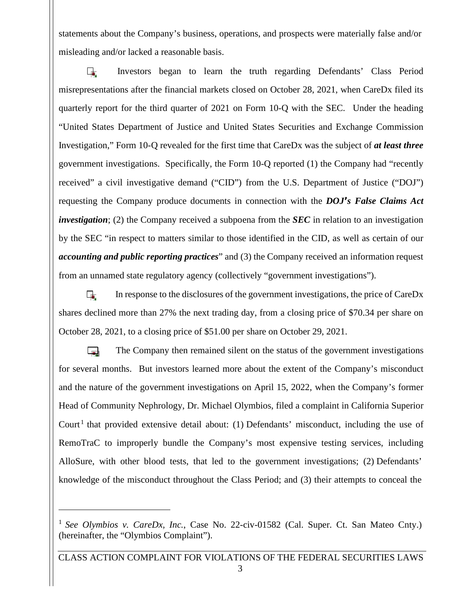statements about the Company's business, operations, and prospects were materially false and/or misleading and/or lacked a reasonable basis.

Investors began to learn the truth regarding Defendants' Class Period  $\overline{\phantom{a}}$ misrepresentations after the financial markets closed on October 28, 2021, when CareDx filed its quarterly report for the third quarter of 2021 on Form 10-Q with the SEC. Under the heading "United States Department of Justice and United States Securities and Exchange Commission Investigation," Form 10-Q revealed for the first time that CareDx was the subject of *at least three* government investigations. Specifically, the Form 10-Q reported (1) the Company had "recently received" a civil investigative demand ("CID") from the U.S. Department of Justice ("DOJ") requesting the Company produce documents in connection with the *DOJ's False Claims Act investigation*; (2) the Company received a subpoena from the *SEC* in relation to an investigation by the SEC "in respect to matters similar to those identified in the CID, as well as certain of our *accounting and public reporting practices*" and (3) the Company received an information request from an unnamed state regulatory agency (collectively "government investigations").

 $\Box$ In response to the disclosures of the government investigations, the price of CareDx shares declined more than 27% the next trading day, from a closing price of \$70.34 per share on October 28, 2021, to a closing price of \$51.00 per share on October 29, 2021.

The Company then remained silent on the status of the government investigations  $\mathbf{r}$ for several months. But investors learned more about the extent of the Company's misconduct and the nature of the government investigations on April 15, 2022, when the Company's former Head of Community Nephrology, Dr. Michael Olymbios, filed a complaint in California Superior Court<sup>1</sup> that provided extensive detail about: (1) Defendants' misconduct, including the use of RemoTraC to improperly bundle the Company's most expensive testing services, including AlloSure, with other blood tests, that led to the government investigations; (2) Defendants' knowledge of the misconduct throughout the Class Period; and (3) their attempts to conceal the

<sup>1</sup> *See Olymbios v. CareDx, Inc.*, Case No. 22-civ-01582 (Cal. Super. Ct. San Mateo Cnty.) (hereinafter, the "Olymbios Complaint").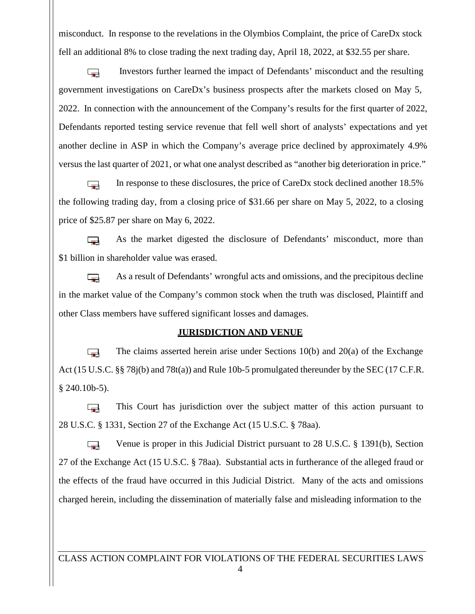misconduct. In response to the revelations in the Olymbios Complaint, the price of CareDx stock fell an additional 8% to close trading the next trading day, April 18, 2022, at \$32.55 per share.

Investors further learned the impact of Defendants' misconduct and the resulting  $\overline{\phantom{a}}$ government investigations on CareDx's business prospects after the markets closed on May 5, 2022. In connection with the announcement of the Company's results for the first quarter of 2022, Defendants reported testing service revenue that fell well short of analysts' expectations and yet another decline in ASP in which the Company's average price declined by approximately 4.9% versus the last quarter of 2021, or what one analyst described as "another big deterioration in price."

In response to these disclosures, the price of CareDx stock declined another 18.5%  $\overline{\phantom{a}}$ the following trading day, from a closing price of \$31.66 per share on May 5, 2022, to a closing price of \$25.87 per share on May 6, 2022.

As the market digested the disclosure of Defendants' misconduct, more than  $\overline{\phantom{a}}$ \$1 billion in shareholder value was erased.

As a result of Defendants' wrongful acts and omissions, and the precipitous decline  $\overline{a}$ in the market value of the Company's common stock when the truth was disclosed, Plaintiff and other Class members have suffered significant losses and damages.

#### **JURISDICTION AND VENUE**

The claims asserted herein arise under Sections 10(b) and 20(a) of the Exchange  $\overline{a}$ Act (15 U.S.C. §§ 78j(b) and 78t(a)) and Rule 10b-5 promulgated thereunder by the SEC (17 C.F.R. § 240.10b-5).

This Court has jurisdiction over the subject matter of this action pursuant to  $\overline{\phantom{a}}$ 28 U.S.C. § 1331, Section 27 of the Exchange Act (15 U.S.C. § 78aa).

Venue is proper in this Judicial District pursuant to 28 U.S.C. § 1391(b), Section  $\overline{\phantom{a}}$ 27 of the Exchange Act (15 U.S.C. § 78aa). Substantial acts in furtherance of the alleged fraud or the effects of the fraud have occurred in this Judicial District. Many of the acts and omissions charged herein, including the dissemination of materially false and misleading information to the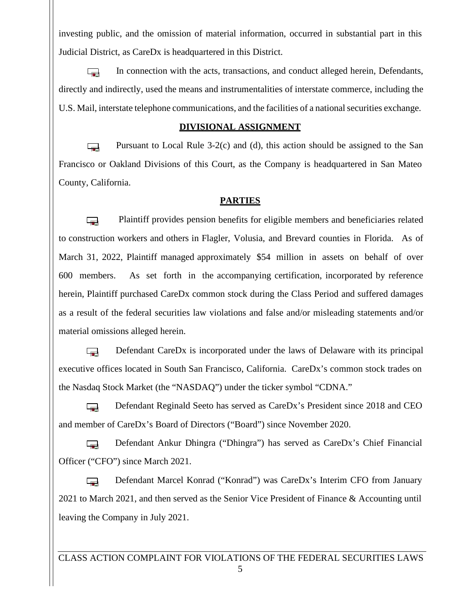investing public, and the omission of material information, occurred in substantial part in this Judicial District, as CareDx is headquartered in this District.

In connection with the acts, transactions, and conduct alleged herein, Defendants,  $\mathbf{r}$ directly and indirectly, used the means and instrumentalities of interstate commerce, including the U.S. Mail, interstate telephone communications, and the facilities of a national securities exchange.

#### **DIVISIONAL ASSIGNMENT**

Pursuant to Local Rule 3-2(c) and (d), this action should be assigned to the San  $\overline{\phantom{a}}$ Francisco or Oakland Divisions of this Court, as the Company is headquartered in San Mateo County, California.

## **PARTIES**

Plaintiff provides pension benefits for eligible members and beneficiaries related  $\overline{a}$ to construction workers and others in Flagler, Volusia, and Brevard counties in Florida. As of March 31, 2022, Plaintiff managed approximately \$54 million in assets on behalf of over 600 members. As set forth in the accompanying certification, incorporated by reference herein, Plaintiff purchased CareDx common stock during the Class Period and suffered damages as a result of the federal securities law violations and false and/or misleading statements and/or material omissions alleged herein.

Defendant CareDx is incorporated under the laws of Delaware with its principal  $\overline{\phantom{a}}$ executive offices located in South San Francisco, California. CareDx's common stock trades on the Nasdaq Stock Market (the "NASDAQ") under the ticker symbol "CDNA."

Defendant Reginald Seeto has served as CareDx's President since 2018 and CEO  $\overline{a}$ and member of CareDx's Board of Directors ("Board") since November 2020.

Defendant Ankur Dhingra ("Dhingra") has served as CareDx's Chief Financial  $\overline{a}$ Officer ("CFO") since March 2021.

Defendant Marcel Konrad ("Konrad") was CareDx's Interim CFO from January  $\overline{\phantom{a}}$ 2021 to March 2021, and then served as the Senior Vice President of Finance & Accounting until leaving the Company in July 2021.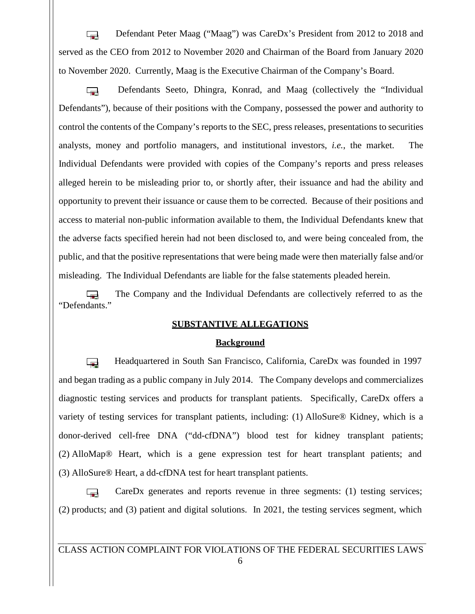Defendant Peter Maag ("Maag") was CareDx's President from 2012 to 2018 and  $\overline{a}$ served as the CEO from 2012 to November 2020 and Chairman of the Board from January 2020 to November 2020. Currently, Maag is the Executive Chairman of the Company's Board.

Defendants Seeto, Dhingra, Konrad, and Maag (collectively the "Individual  $\overline{a}$ Defendants"), because of their positions with the Company, possessed the power and authority to control the contents of the Company's reports to the SEC, press releases, presentations to securities analysts, money and portfolio managers, and institutional investors, *i.e.*, the market. The Individual Defendants were provided with copies of the Company's reports and press releases alleged herein to be misleading prior to, or shortly after, their issuance and had the ability and opportunity to prevent their issuance or cause them to be corrected. Because of their positions and access to material non-public information available to them, the Individual Defendants knew that the adverse facts specified herein had not been disclosed to, and were being concealed from, the public, and that the positive representations that were being made were then materially false and/or misleading. The Individual Defendants are liable for the false statements pleaded herein.

The Company and the Individual Defendants are collectively referred to as the  $\overline{ }$ "Defendants."

#### **SUBSTANTIVE ALLEGATIONS**

#### **Background**

Headquartered in South San Francisco, California, CareDx was founded in 1997 **Section** and began trading as a public company in July 2014. The Company develops and commercializes diagnostic testing services and products for transplant patients. Specifically, CareDx offers a variety of testing services for transplant patients, including: (1) AlloSure® Kidney, which is a donor-derived cell-free DNA ("dd-cfDNA") blood test for kidney transplant patients; (2) AlloMap® Heart, which is a gene expression test for heart transplant patients; and (3) AlloSure® Heart, a dd-cfDNA test for heart transplant patients.

CareDx generates and reports revenue in three segments: (1) testing services;  $\overline{\phantom{a}}$ (2) products; and (3) patient and digital solutions. In 2021, the testing services segment, which

CLASS ACTION COMPLAINT FOR VIOLATIONS OF THE FEDERAL SECURITIES LAWS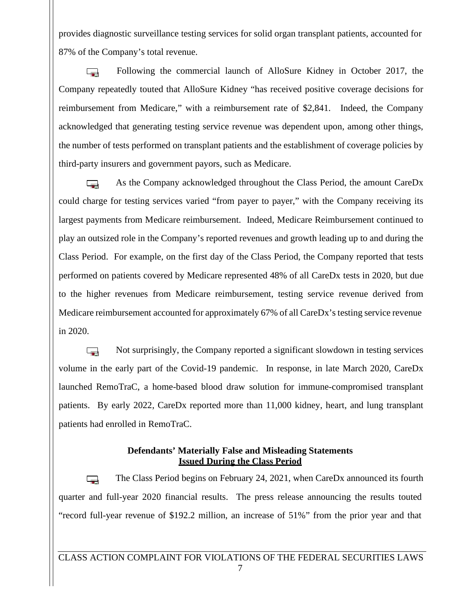provides diagnostic surveillance testing services for solid organ transplant patients, accounted for 87% of the Company's total revenue.

Following the commercial launch of AlloSure Kidney in October 2017, the  $\overline{\phantom{a}}$ Company repeatedly touted that AlloSure Kidney "has received positive coverage decisions for reimbursement from Medicare," with a reimbursement rate of \$2,841. Indeed, the Company acknowledged that generating testing service revenue was dependent upon, among other things, the number of tests performed on transplant patients and the establishment of coverage policies by third-party insurers and government payors, such as Medicare.

As the Company acknowledged throughout the Class Period, the amount CareDx  $\overline{a}$ could charge for testing services varied "from payer to payer," with the Company receiving its largest payments from Medicare reimbursement. Indeed, Medicare Reimbursement continued to play an outsized role in the Company's reported revenues and growth leading up to and during the Class Period. For example, on the first day of the Class Period, the Company reported that tests performed on patients covered by Medicare represented 48% of all CareDx tests in 2020, but due to the higher revenues from Medicare reimbursement, testing service revenue derived from Medicare reimbursement accounted for approximately 67% of all CareDx's testing service revenue in 2020.

Not surprisingly, the Company reported a significant slowdown in testing services l. volume in the early part of the Covid-19 pandemic. In response, in late March 2020, CareDx launched RemoTraC, a home-based blood draw solution for immune-compromised transplant patients. By early 2022, CareDx reported more than 11,000 kidney, heart, and lung transplant patients had enrolled in RemoTraC.

# **Defendants' Materially False and Misleading Statements Issued During the Class Period**

The Class Period begins on February 24, 2021, when CareDx announced its fourth  $\Box$ quarter and full-year 2020 financial results. The press release announcing the results touted "record full-year revenue of \$192.2 million, an increase of 51%" from the prior year and that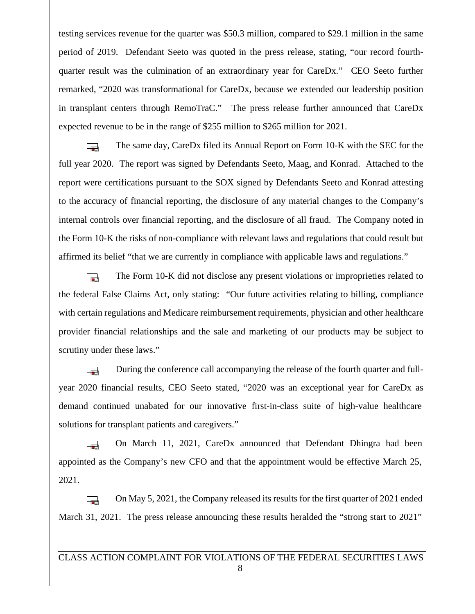testing services revenue for the quarter was \$50.3 million, compared to \$29.1 million in the same period of2019. Defendant Seeto was quoted in the press release, stating, "our record fourth quarter result was the culmination of an extraordinary year for CareDx." CEO Seeto further remarked, "2020 was transformational for CareDx, because we extended our leadership position in transplant centers through RemoTraC." The press release further announced that CareDx expected revenue to be in the range of \$255 million to \$265 million for 2021.

The same day, CareDx filed its Annual Report on Form 10-K with the SEC for the  $\overline{a}$ full year 2020. The report was signed by Defendants Seeto, Maag, and Konrad. Attached to the report were certifications pursuant to the SOX signed by Defendants Seeto and Konrad attesting to the accuracy of financial reporting, the disclosure of any material changes to the Company's internal controls over financial reporting, and the disclosure of all fraud. The Company noted in the Form 10-K the risks of non-compliance with relevant laws and regulations that could result but affirmed its belief "that we are currently in compliance with applicable laws and regulations."

The Form 10-K did not disclose any present violations or improprieties related to  $\overline{\phantom{a}}$ the federal False Claims Act, only stating: "Our future activities relating to billing, compliance with certain regulations and Medicare reimbursement requirements, physician and other healthcare provider financial relationships and the sale and marketing of our products may be subject to scrutiny under these laws."

During the conference call accompanying the release of the fourth quarter and full-  $\overline{\phantom{a}}$ year 2020 financial results, CEO Seeto stated, "2020 was an exceptional year for CareDx as demand continued unabated for our innovative first-in-class suite of high-value healthcare solutions for transplant patients and caregivers."

On March 11,2021, CareDx announced that Defendant Dhingra had been  $\overline{\phantom{a}}$ appointed as the Company's new CFO and that the appointment would be effective March 25, 2021.

On May 5, 2021, the Company released its results for the first quarter of 2021 ended  $\Box$ March 31, 2021. The press release announcing these results heralded the "strong start to 2021"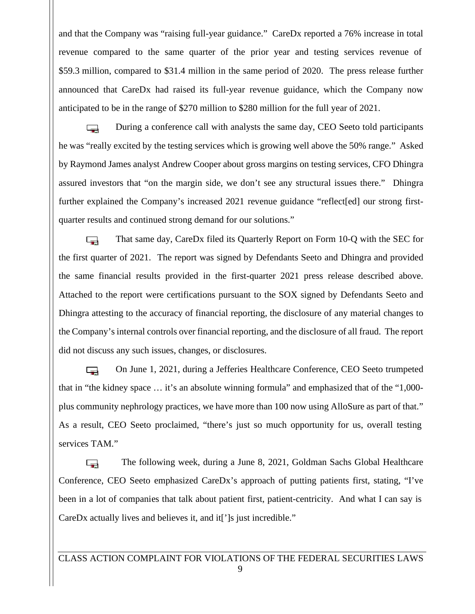and that the Company was "raising full-year guidance." CareDx reported a 76% increase in total revenue compared to the same quarter of the prior year and testing services revenue of \$59.3 million, compared to \$31.4 million in the same period of 2020. The press release further announced that CareDx had raised its full-year revenue guidance, which the Company now anticipated to be in the range of \$270 million to \$280 million for the full year of 2021.

During a conference call with analysts the same day, CEO Seeto told participants  $\Box$ he was "really excited by the testing services which is growing well above the 50% range." Asked by Raymond James analyst Andrew Cooper about gross margins on testing services, CFO Dhingra assured investors that "on the margin side, we don't see any structural issues there." Dhingra further explained the Company's increased 2021 revenue guidance "reflect[ed] our strong firstquarter results and continued strong demand for our solutions."

That same day, CareDx filed its Quarterly Report on Form 10-Q with the SEC for  $\overline{a}$ the first quarter of 2021. The report was signed by Defendants Seeto and Dhingra and provided the same financial results provided in the first-quarter 2021 press release described above. Attached to the report were certifications pursuant to the SOX signed by Defendants Seeto and Dhingra attesting to the accuracy of financial reporting, the disclosure of any material changes to the Company's internal controls over financial reporting, and the disclosure of all fraud. The report did not discuss any such issues, changes, or disclosures.

On June 1, 2021, during a Jefferies Healthcare Conference, CEO Seeto trumpeted  $\Box$ that in "the kidney space … it's an absolute winning formula" and emphasized that of the "1,000 plus community nephrology practices, we have more than 100 now using AlloSure as part of that." As a result, CEO Seeto proclaimed, "there's just so much opportunity for us, overall testing services TAM."

The following week, during a June 8, 2021, Goldman Sachs Global Healthcare  $\Box$ Conference, CEO Seeto emphasized CareDx's approach of putting patients first, stating, "I've been in a lot of companies that talk about patient first, patient-centricity. And what I can say is CareDx actually lives and believes it, and it<sup>[']</sup>s just incredible."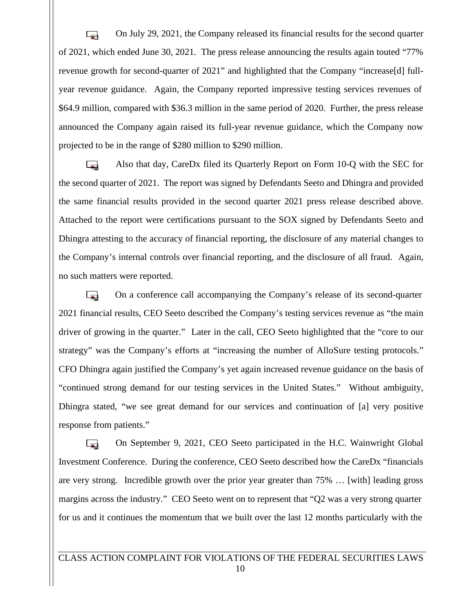On July 29, 2021, the Company released its financial results for the second quarter  $\overline{a}$ of 2021, which ended June 30, 2021. The press release announcing the results again touted "77% revenue growth for second-quarter of 2021" and highlighted that the Company "increase[d] full year revenue guidance. Again, the Company reported impressive testing services revenues of \$64.9 million, compared with \$36.3 million in the same period of 2020. Further, the press release announced the Company again raised its full-year revenue guidance, which the Company now projected to be in the range of \$280 million to \$290 million.

Also that day, CareDx filed its Quarterly Report on Form 10-Q with the SEC for  $\overline{\phantom{a}}$ the second quarter of 2021. The report was signed by Defendants Seeto and Dhingra and provided the same financial results provided in the second quarter 2021 press release described above. Attached to the report were certifications pursuant to the SOX signed by Defendants Seeto and Dhingra attesting to the accuracy of financial reporting, the disclosure of any material changes to the Company's internal controls over financial reporting, and the disclosure of all fraud. Again, no such matters were reported.

On a conference call accompanying the Company's release of its second-quarter  $\overline{a}$ 2021 financial results, CEO Seeto described the Company's testing services revenue as "the main driver of growing in the quarter." Later in the call, CEO Seeto highlighted that the "core to our strategy" was the Company's efforts at "increasing the number of AlloSure testing protocols." CFO Dhingra again justified the Company's yet again increased revenue guidance on the basis of "continued strong demand for our testing services in the United States." Without ambiguity, Dhingra stated, "we see great demand for our services and continuation of [a] very positive response from patients."

On September 9, 2021, CEO Seeto participated in the H.C. Wainwright Global  $\overline{a}$ Investment Conference. During the conference, CEO Seeto described how the CareDx "financials are very strong. Incredible growth over the prior year greater than 75% … [with] leading gross margins across the industry." CEO Seeto went on to represent that "Q2 was a very strong quarter for us and it continues the momentum that we built over the last 12 months particularly with the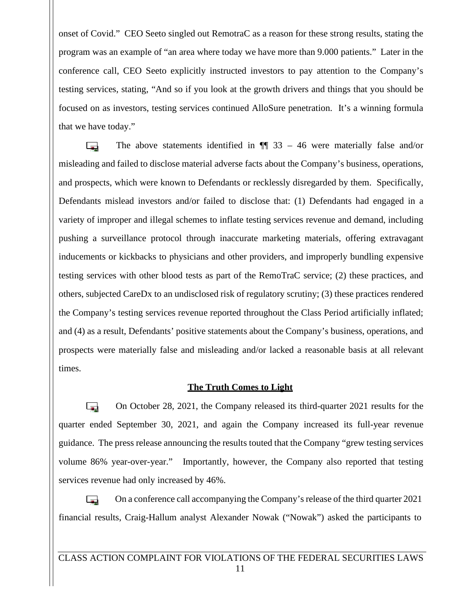onset of Covid." CEO Seeto singled out RemotraC as a reason for these strong results, stating the program was an example of "an area where today we have more than 9.000 patients." Later in the conference call, CEO Seeto explicitly instructed investors to pay attention to the Company's testing services, stating, "And so if you look at the growth drivers and things that you should be focused on as investors, testing services continued AlloSure penetration. It's a winning formula that we have today."

The above statements identified in  $\P$  33 – 46 were materially false and/or  $\Box$ misleading and failed to disclose material adverse facts about the Company's business, operations, and prospects, which were known to Defendants or recklessly disregarded by them. Specifically, Defendants mislead investors and/or failed to disclose that: (1) Defendants had engaged in a variety of improper and illegal schemes to inflate testing services revenue and demand, including pushing a surveillance protocol through inaccurate marketing materials, offering extravagant inducements or kickbacks to physicians and other providers, and improperly bundling expensive testing services with other blood tests as part of the RemoTraC service; (2) these practices, and others, subjected CareDx to an undisclosed risk of regulatory scrutiny; (3) these practices rendered the Company's testing services revenue reported throughout the Class Period artificially inflated; and (4) as a result, Defendants' positive statements about the Company's business, operations, and prospects were materially false and misleading and/or lacked a reasonable basis at all relevant times.

#### **The Truth Comes to Light**

On October 28, 2021, the Company released its third-quarter 2021 results for the  $\overline{a}$ quarter ended September 30, 2021, and again the Company increased its full-year revenue guidance. The press release announcing the results touted that the Company "grew testing services volume 86% year-over-year." Importantly, however, the Company also reported that testing services revenue had only increased by 46%.

On a conference call accompanying the Company'srelease of the third quarter 2021 **Section** financial results, Craig-Hallum analyst Alexander Nowak ("Nowak") asked the participants to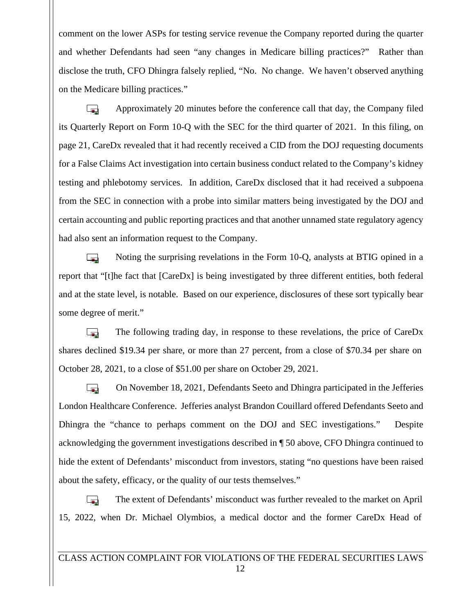comment on the lower ASPs for testing service revenue the Company reported during the quarter and whether Defendants had seen "any changes in Medicare billing practices?" Rather than disclose the truth, CFO Dhingra falsely replied, "No. No change. We haven't observed anything on the Medicare billing practices."

Approximately 20 minutes before the conference call that day, the Company filed  $\sim$ its Quarterly Report on Form 10-Q with the SEC for the third quarter of 2021. In this filing, on page 21, CareDx revealed that it had recently received a CID from the DOJ requesting documents for a False Claims Act investigation into certain business conduct related to the Company's kidney testing and phlebotomy services. In addition, CareDx disclosed that it had received a subpoena from the SEC in connection with a probe into similar matters being investigated by the DOJ and certain accounting and public reporting practices and that another unnamed state regulatory agency had also sent an information request to the Company.

Noting the surprising revelations in the Form 10-Q, analysts at BTIG opined in a  $\sim$ report that "[t]he fact that [CareDx] is being investigated by three different entities, both federal and at the state level, is notable. Based on our experience, disclosures of these sort typically bear some degree of merit."

**Ta** The following trading day, in response to these revelations, the price of CareDx shares declined \$19.34 per share, or more than 27 percent, from a close of \$70.34 per share on October 28, 2021, to a close of \$51.00 per share on October 29, 2021.

On November 18, 2021, Defendants Seeto and Dhingra participated in the Jefferies  $\overline{\phantom{a}}$ London Healthcare Conference. Jefferies analyst Brandon Couillard offered Defendants Seeto and Dhingra the "chance to perhaps comment on the DOJ and SEC investigations." Despite acknowledging the government investigations described in ¶ 50 above, CFO Dhingra continued to hide the extent of Defendants' misconduct from investors, stating "no questions have been raised about the safety, efficacy, or the quality of our tests themselves."

 $\overline{\phantom{a}}$ The extent of Defendants' misconduct was further revealed to the market on April 15, 2022, when Dr. Michael Olymbios, a medical doctor and the former CareDx Head of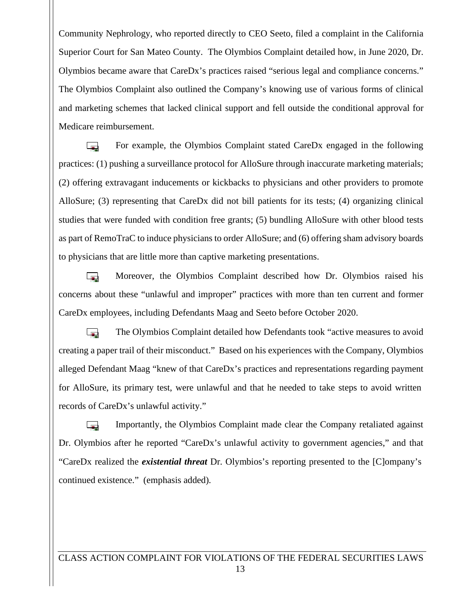Community Nephrology, who reported directly to CEO Seeto, filed a complaint in the California Superior Court for San Mateo County. The Olymbios Complaint detailed how, in June 2020, Dr. Olymbios became aware that CareDx's practices raised "serious legal and compliance concerns." The Olymbios Complaint also outlined the Company's knowing use of various forms of clinical and marketing schemes that lacked clinical support and fell outside the conditional approval for Medicare reimbursement.

For example, the Olymbios Complaint stated CareDx engaged in the following  $\Box$ practices: (1) pushing a surveillance protocol for AlloSure through inaccurate marketing materials; (2) offering extravagant inducements or kickbacks to physicians and other providers to promote AlloSure; (3) representing that CareDx did not bill patients for its tests; (4) organizing clinical studies that were funded with condition free grants; (5) bundling AlloSure with other blood tests as part of RemoTraC to induce physicians to order AlloSure; and (6) offering sham advisory boards to physicians that are little more than captive marketing presentations.

Moreover, the Olymbios Complaint described how Dr. Olymbios raised his **Ta** concerns about these "unlawful and improper" practices with more than ten current and former CareDx employees, including Defendants Maag and Seeto before October 2020.

**Ta** The Olymbios Complaint detailed how Defendants took "active measures to avoid creating a paper trail of their misconduct." Based on his experiences with the Company, Olymbios alleged Defendant Maag "knew of that CareDx's practices and representations regarding payment for AlloSure, its primary test, were unlawful and that he needed to take steps to avoid written records of CareDx's unlawful activity."

Importantly, the Olymbios Complaint made clear the Company retaliated against **Lines** Dr. Olymbios after he reported "CareDx's unlawful activity to government agencies," and that "CareDx realized the *existential threat* Dr. Olymbios's reporting presented to the [C]ompany's continued existence." (emphasis added).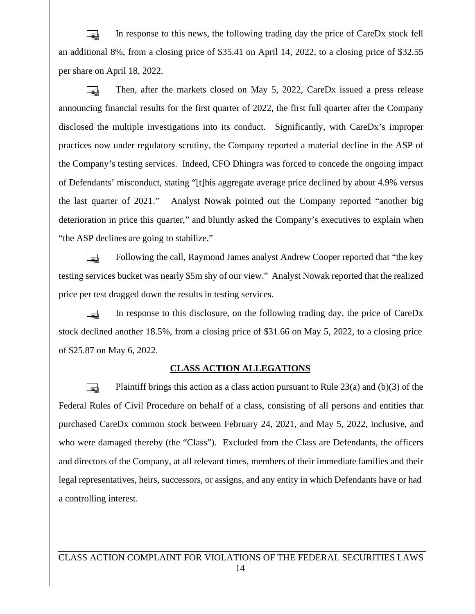In response to this news, the following trading day the price of CareDx stock fell  $\overline{a}$ an additional 8%, from a closing price of \$35.41 on April 14, 2022, to a closing price of \$32.55 per share on April 18, 2022.

Then, after the markets closed on May 5, 2022, CareDx issued a press release  $\overline{a}$ announcing financial results for the first quarter of 2022, the first full quarter after the Company disclosed the multiple investigations into its conduct. Significantly, with CareDx's improper practices now under regulatory scrutiny, the Company reported a material decline in the ASP of the Company's testing services. Indeed, CFO Dhingra was forced to concede the ongoing impact of Defendants' misconduct, stating "[t]his aggregate average price declined by about 4.9% versus the last quarter of 2021." Analyst Nowak pointed out the Company reported "another big deterioration in price this quarter," and bluntly asked the Company's executives to explain when "the ASP declines are going to stabilize."

Following the call, Raymond James analyst Andrew Cooper reported that "the key  $\sim$ testing services bucket was nearly \$5m shy of our view." Analyst Nowak reported that the realized price per test dragged down the results in testing services.

In response to this disclosure, on the following trading day, the price of CareDx  $\overline{\phantom{a}}$ stock declined another 18.5%, from a closing price of \$31.66 on May 5, 2022, to a closing price of \$25.87 on May 6, 2022.

## **CLASS ACTION ALLEGATIONS**

**Card** Plaintiff brings this action as a class action pursuant to Rule  $23(a)$  and (b)(3) of the Federal Rules of Civil Procedure on behalf of a class, consisting of all persons and entities that purchased CareDx common stock between February 24, 2021, and May 5, 2022, inclusive, and who were damaged thereby (the "Class"). Excluded from the Class are Defendants, the officers and directors of the Company, at all relevant times, members of their immediate families and their legal representatives, heirs, successors, or assigns, and any entity in which Defendants have or had a controlling interest.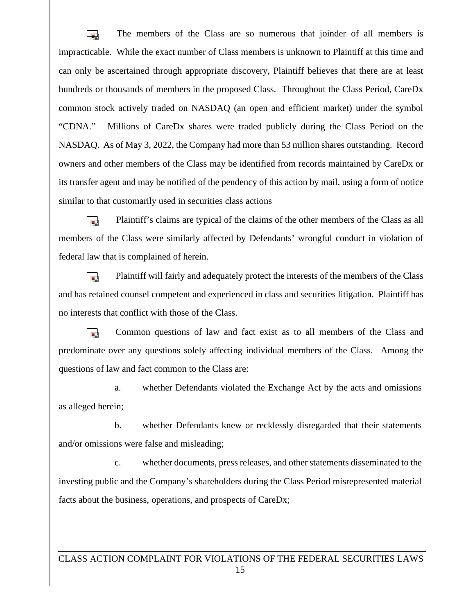The members of the Class are so numerous that joinder of all members is  $\overline{\phantom{a}}$ impracticable. While the exact number of Class members is unknown to Plaintiff at this time and can only be ascertained through appropriate discovery, Plaintiff believes that there are at least hundreds or thousands of members in the proposed Class. Throughout the Class Period, CareDx common stock actively traded on NASDAQ (an open and efficient market) under the symbol "CDNA." Millions of CareDx shares were traded publicly during the Class Period on the NASDAQ. As of May 3, 2022, the Company had more than 53 million shares outstanding. Record owners and other members of the Class may be identified from records maintained by CareDx or its transfer agent and may be notified of the pendency of this action by mail, using a form of notice similar to that customarily used in securities class actions

Plaintiff's claims are typical of the claims of the other members of the Class as all  $\overline{a}$ members of the Class were similarly affected by Defendants' wrongful conduct in violation of federal law that is complained of herein.

Plaintiff will fairly and adequately protect the interests of the members of the Class **Ta** and has retained counsel competent and experienced in class and securities litigation. Plaintiff has no interests that conflict with those of the Class.

**Ta** Common questions of law and fact exist as to all members of the Class and predominate over any questions solely affecting individual members of the Class. Among the questions of law and fact common to the Class are:

a. whether Defendants violated the Exchange Act by the acts and omissions as alleged herein;

b. whether Defendants knew or recklessly disregarded that their statements and/or omissions were false and misleading;

c. whether documents, press releases, and other statements disseminated to the investing public and the Company's shareholders during the Class Period misrepresented material facts about the business, operations, and prospects of CareDx;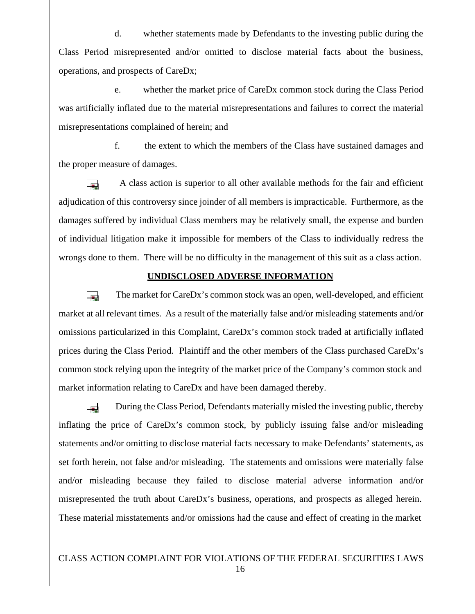d. whether statements made by Defendants to the investing public during the Class Period misrepresented and/or omitted to disclose material facts about the business, operations, and prospects of CareDx;

e. whether the market price of CareDx common stock during the Class Period was artificially inflated due to the material misrepresentations and failures to correct the material misrepresentations complained of herein; and

f. the extent to which the members of the Class have sustained damages and the proper measure of damages.

A class action is superior to all other available methods for the fair and efficient  $\overline{a}$ adjudication of this controversy since joinder of all members is impracticable. Furthermore, as the damages suffered by individual Class members may be relatively small, the expense and burden of individual litigation make it impossible for members of the Class to individually redress the wrongs done to them. There will be no difficulty in the management of this suit as a class action.

# **UNDISCLOSED ADVERSE INFORMATION**

The market for CareDx's common stock was an open, well-developed, and efficient  $\overline{a}$ market at all relevant times. As a result of the materially false and/or misleading statements and/or omissions particularized in this Complaint, CareDx's common stock traded at artificially inflated prices during the Class Period. Plaintiff and the other members of the Class purchased CareDx's common stock relying upon the integrity of the market price of the Company's common stock and market information relating to CareDx and have been damaged thereby.

During the Class Period, Defendants materially misled the investing public, thereby **Service** inflating the price of CareDx's common stock, by publicly issuing false and/or misleading statements and/or omitting to disclose material facts necessary to make Defendants' statements, as set forth herein, not false and/or misleading. The statements and omissions were materially false and/or misleading because they failed to disclose material adverse information and/or misrepresented the truth about CareDx's business, operations, and prospects as alleged herein. These material misstatements and/or omissions had the cause and effect of creating in the market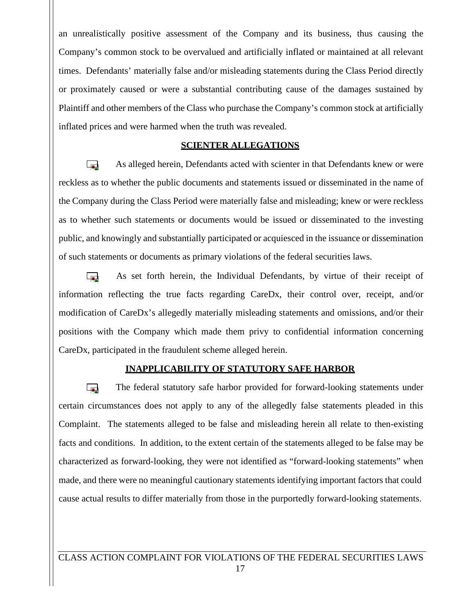an unrealistically positive assessment of the Company and its business, thus causing the Company's common stock to be overvalued and artificially inflated or maintained at all relevant times. Defendants' materially false and/or misleading statements during the Class Period directly or proximately caused or were a substantial contributing cause of the damages sustained by Plaintiff and other members of the Class who purchase the Company's common stock at artificially inflated prices and were harmed when the truth was revealed.

## **SCIENTER ALLEGATIONS**

As alleged herein, Defendants acted with scienter in that Defendants knew or were  $\overline{\phantom{a}}$ reckless as to whether the public documents and statements issued or disseminated in the name of the Company during the Class Period were materially false and misleading; knew or were reckless as to whether such statements or documents would be issued or disseminated to the investing public, and knowingly and substantially participated or acquiesced in the issuance or dissemination of such statements or documents as primary violations of the federal securities laws.

As set forth herein, the Individual Defendants, by virtue of their receipt of **Section** information reflecting the true facts regarding CareDx, their control over, receipt, and/or modification of CareDx's allegedly materially misleading statements and omissions, and/or their positions with the Company which made them privy to confidential information concerning CareDx, participated in the fraudulent scheme alleged herein.

## **INAPPLICABILITY OF STATUTORY SAFE HARBOR**

The federal statutory safe harbor provided for forward-looking statements under **Section** certain circumstances does not apply to any of the allegedly false statements pleaded in this Complaint. The statements alleged to be false and misleading herein all relate to then-existing facts and conditions. In addition, to the extent certain of the statements alleged to be false may be characterized as forward-looking, they were not identified as "forward-looking statements" when made, and there were no meaningful cautionary statements identifying important factors that could cause actual results to differ materially from those in the purportedly forward-looking statements.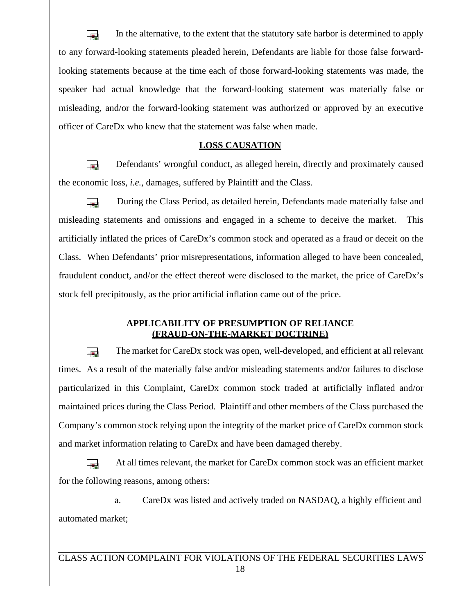In the alternative, to the extent that the statutory safe harbor is determined to apply  $\overline{a}$ to any forward-looking statements pleaded herein, Defendants are liable for those false forwardlooking statements because at the time each of those forward-looking statements was made, the speaker had actual knowledge that the forward-looking statement was materially false or misleading, and/or the forward-looking statement was authorized orapproved by an executive officer of CareDx who knew that the statement was false when made.

# **LOSS CAUSATION**

Defendants' wrongful conduct, as alleged herein, directly and proximately caused **Section** the economic loss, *i.e.*, damages, suffered by Plaintiff and the Class.

During the Class Period, as detailed herein, Defendants made materially false and **Contract** misleading statements and omissions and engaged in a scheme to deceive the market. This artificially inflated the prices of CareDx's common stock and operated as a fraud or deceit on the Class. When Defendants' prior misrepresentations, information alleged to have been concealed, fraudulent conduct, and/or the effect thereof were disclosed to the market, the price of CareDx's stock fell precipitously, as the prior artificial inflation came out of the price.

# **APPLICABILITY OF PRESUMPTION OF RELIANCE (FRAUD-ON-THE-MARKET DOCTRINE)**

 $\overline{a}$ The market for CareDx stock was open, well-developed, and efficient at all relevant times. As a result of the materially false and/or misleading statements and/or failures to disclose particularized in this Complaint, CareDx common stock traded at artificially inflated and/or maintained prices during the Class Period. Plaintiff and other members of the Class purchased the Company's common stock relying upon the integrity of the market price of CareDx common stock and market information relating to CareDx and have been damaged thereby.

At all times relevant, the market for CareDx common stock was an efficient market **Contract** for the following reasons, among others:

a. CareDx was listed and actively traded on NASDAQ, a highly efficient and automated market;

CLASS ACTION COMPLAINT FOR VIOLATIONS OF THE FEDERAL SECURITIES LAWS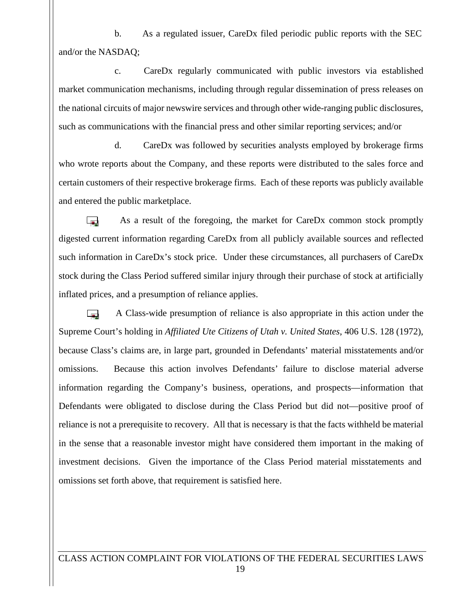b. As a regulated issuer, CareDx filed periodic public reports with the SEC and/or the NASDAQ;

c. CareDx regularly communicated with public investors via established market communication mechanisms, including through regular dissemination of press releases on the national circuits of major newswire services and through other wide-ranging public disclosures, such as communications with the financial press and other similar reporting services; and/or

d. CareDx was followed by securities analysts employed by brokerage firms who wrote reports about the Company, and these reports were distributed to the sales force and certain customers of their respective brokerage firms. Each of these reports was publicly available and entered the public marketplace.

 $\overline{a}$ As a result of the foregoing, the market for CareDx common stock promptly digested current information regarding CareDx from all publicly available sources and reflected such information in CareDx's stock price. Under these circumstances, all purchasers of CareDx stock during the Class Period suffered similar injury through their purchase of stock at artificially inflated prices, and a presumption of reliance applies.

A Class-wide presumption of reliance is also appropriate in this action under the **Inches** Supreme Court's holding in *Affiliated Ute Citizens of Utah v. United States*, 406 U.S. 128 (1972), because Class's claims are, in large part, grounded in Defendants' material misstatements and/or omissions. Because this action involves Defendants' failure to disclose material adverse information regarding the Company's business, operations, and prospects—information that Defendants were obligated to disclose during the Class Period but did not—positive proof of reliance is not a prerequisite to recovery. All that is necessary is that the facts withheld be material in the sense that a reasonable investor might have considered them important in the making of investment decisions. Given the importance of the Class Period material misstatements and omissions set forth above, that requirement is satisfied here.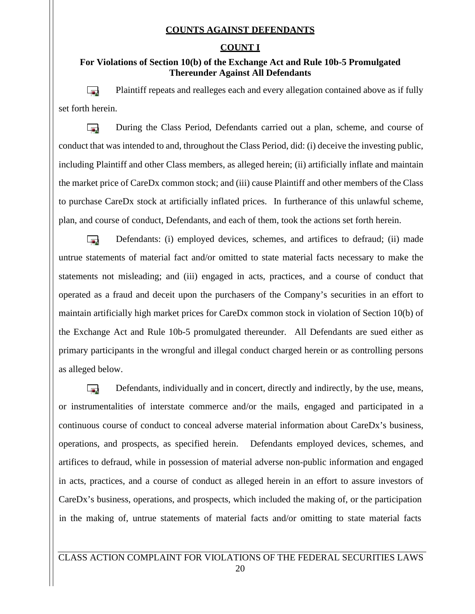# **COUNTS AGAINST DEFENDANTS**

# **COUNT I**

# **For Violations of Section 10(b) of the Exchange Act and Rule 10b-5 Promulgated Thereunder Against All Defendants**

Plaintiff repeats and realleges each and every allegation contained above as if fully  $\overline{a}$ set forth herein.

During the Class Period, Defendants carried out a plan, scheme, and course of **Contract** conduct that was intended to and, throughout the Class Period, did: (i) deceive the investing public, including Plaintiff and other Class members, as alleged herein; (ii) artificially inflate and maintain the market price of CareDx common stock; and (iii) cause Plaintiff and other members of the Class to purchase CareDx stock at artificially inflated prices. In furtherance of this unlawful scheme, plan, and course of conduct, Defendants, and each of them, took the actions set forth herein.

Defendants: (i) employed devices, schemes, and artifices to defraud; (ii) made  $\mathbf{r}$ untrue statements of material fact and/or omitted to state material facts necessary to make the statements not misleading; and (iii) engaged in acts, practices, and a course of conduct that operated as a fraud and deceit upon the purchasers of the Company's securities in an effort to maintain artificially high market prices for CareDx common stock in violation of Section 10(b) of the Exchange Act and Rule 10b-5 promulgated thereunder. All Defendants are sued either as primary participants in the wrongful and illegal conduct charged herein or as controlling persons as alleged below.

Defendants, individually and in concert, directly and indirectly, by the use, means,  $\overline{a}$ or instrumentalities of interstate commerce and/or the mails, engaged and participated in a continuous course of conduct to conceal adverse material information about CareDx's business, operations, and prospects, as specified herein. Defendants employed devices, schemes, and artifices to defraud, while in possession of material adverse non-public information and engaged in acts, practices, and a course of conduct as alleged herein in an effort to assure investors of CareDx's business, operations, and prospects, which included the making of, or the participation in the making of, untrue statements of material facts and/or omitting to state material facts

# CLASS ACTION COMPLAINT FOR VIOLATIONS OF THE FEDERAL SECURITIES LAWS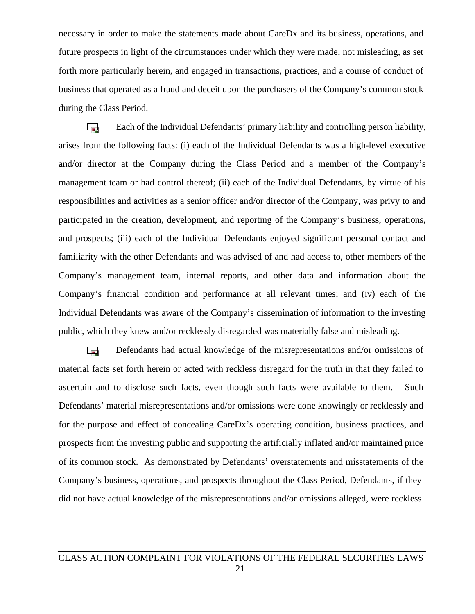necessary in order to make the statements made about CareDx and its business, operations, and future prospects in light of the circumstances under which they were made, not misleading, as set forth more particularly herein, and engaged in transactions, practices, and a course of conduct of business that operated as a fraud and deceit upon the purchasers of the Company's common stock during the Class Period.

Each of the Individual Defendants' primary liability and controlling person liability, **Inches** arises from the following facts: (i) each of the Individual Defendants was a high-level executive and/or director at the Company during the Class Period and a member of the Company's management team or had control thereof; (ii) each of the Individual Defendants, by virtue of his responsibilities and activities as a senior officer and/or director of the Company, was privy to and participated in the creation, development, and reporting of the Company's business, operations, and prospects; (iii) each of the Individual Defendants enjoyed significant personal contact and familiarity with the other Defendants and was advised of and had access to, other members of the Company's management team, internal reports, and other data and information about the Company's financial condition and performance atall relevant times; and (iv) each of the Individual Defendants was aware of the Company's dissemination of information to the investing public, which they knew and/or recklessly disregarded was materially false and misleading.

Defendants had actual knowledge of the misrepresentations and/or omissions of  $\overline{a}$ material facts set forth herein or acted with reckless disregard for the truth in that they failed to ascertain and to disclose such facts, even though such facts were available to them. Such Defendants' material misrepresentations and/or omissions were done knowingly or recklessly and for the purpose and effect of concealing CareDx's operating condition, business practices, and prospects from the investing public and supporting the artificially inflated and/or maintained price of its common stock. As demonstrated by Defendants' overstatements and misstatements of the Company's business, operations, and prospects throughout the Class Period, Defendants, if they did not have actual knowledge of the misrepresentations and/or omissions alleged, were reckless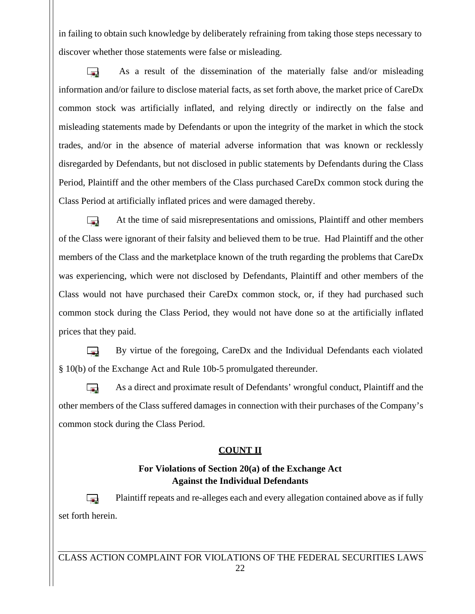in failing to obtain such knowledge by deliberately refraining from taking those steps necessary to discover whether those statements were false or misleading.

As a result of the dissemination of the materially false and/or misleading **Inc.** information and/or failure to disclose material facts, as set forth above, the market price of CareDx common stock was artificially inflated, and relying directly or indirectly on the false and misleading statements made by Defendants or upon the integrity of the market in which the stock trades, and/or in the absence of material adverse information that was known or recklessly disregarded by Defendants, but not disclosed in public statements by Defendants during the Class Period, Plaintiff and the other members of the Class purchased CareDx common stock during the Class Period at artificially inflated prices and were damaged thereby.

 $\overline{a}$ At the time of said misrepresentations and omissions, Plaintiff and other members of the Class were ignorant of their falsity and believed them to be true. Had Plaintiff and the other members of the Class and the marketplace known of the truth regarding the problems that CareDx was experiencing, which were not disclosed by Defendants, Plaintiff and other members of the Class would not have purchased their CareDx common stock, or, if they had purchased such common stock during the Class Period, they would nothave done so at the artificially inflated prices that they paid.

By virtue of the foregoing, CareDx and the Individual Defendants each violated  $\overline{a}$ § 10(b) of the Exchange Act and Rule 10b-5 promulgated thereunder.

As a direct and proximate result of Defendants' wrongful conduct, Plaintiff and the other members of the Class suffered damages in connection with their purchases of the Company's common stock during the Class Period.

# **COUNT II**

# **For Violations of Section 20(a) of the Exchange Act Against the Individual Defendants**

Plaintiff repeats and re-alleges each and every allegation contained above as if fully **Section** set forth herein.

CLASS ACTION COMPLAINT FOR VIOLATIONS OF THE FEDERAL SECURITIES LAWS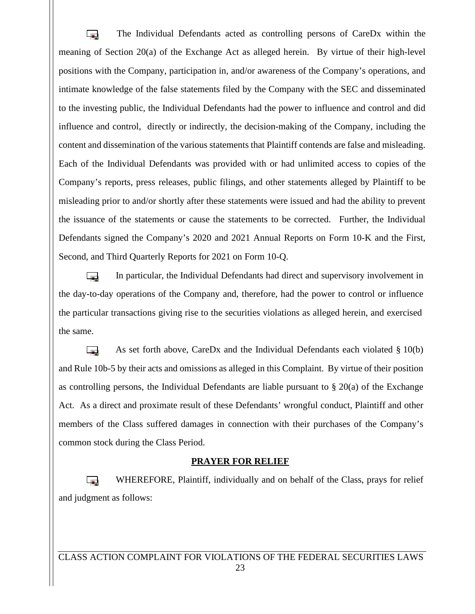The Individual Defendants acted as controlling persons of CareDx within the  $\overline{a}$ meaning of Section  $20(a)$  of the Exchange Act as alleged herein. By virtue of their high-level positions with the Company, participation in, and/or awareness of the Company's operations, and intimate knowledge of the false statements filed by the Company with the SEC and disseminated to the investing public, the Individual Defendants had the power to influence and control and did influence and control, directly or indirectly, the decision-making of the Company, including the content and dissemination of the various statements that Plaintiff contends are false and misleading. Each of the Individual Defendants was provided with or had unlimited access to copies of the Company's reports, press releases, public filings, and other statements alleged by Plaintiff to be misleading prior to and/or shortly after these statements were issued and had the ability to prevent the issuance of the statements or cause the statements to be corrected. Further, the Individual Defendants signed the Company's 2020 and 2021 Annual Reports on Form 10-K and the First, Second, and Third Quarterly Reports for 2021 on Form 10-Q.

In particular, the Individual Defendants had direct and supervisory involvement in **Section** the day-to-day operations of the Company and, therefore, had the power to control or influence the particular transactions giving rise to the securities violations as alleged herein, and exercised the same.

As set forth above, CareDx and the Individual Defendants each violated  $\S 10(b)$ **Contract** and Rule 10b-5 by their acts and omissions as alleged in this Complaint. By virtue of their position as controlling persons, the Individual Defendants are liable pursuant to  $\S 20(a)$  of the Exchange Act. As a direct and proximate result of these Defendants' wrongful conduct, Plaintiff and other members of the Class suffered damages in connection with their purchases of the Company's common stock during the Class Period.

## **PRAYER FOR RELIEF**

WHEREFORE, Plaintiff, individually and on behalf of the Class, prays for relief **Sec** and judgment as follows: